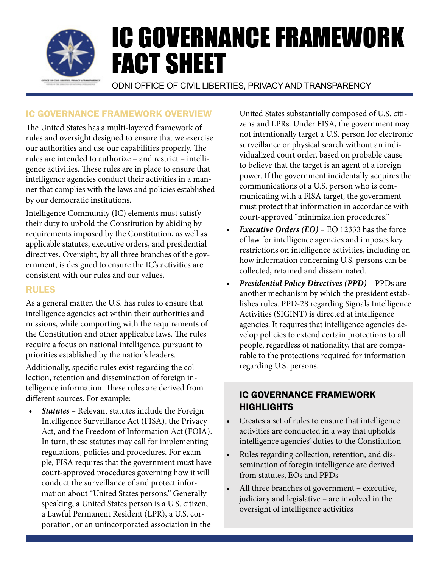

## ic governance framework Overview

The United States has a multi-layered framework of rules and oversight designed to ensure that we exercise our authorities and use our capabilities properly. The rules are intended to authorize – and restrict – intelligence activities. These rules are in place to ensure that intelligence agencies conduct their activities in a manner that complies with the laws and policies established by our democratic institutions.

Intelligence Community (IC) elements must satisfy their duty to uphold the Constitution by abiding by requirements imposed by the Constitution, as well as applicable statutes, executive orders, and presidential directives. Oversight, by all three branches of the government, is designed to ensure the IC's activities are consistent with our rules and our values.

## rules

As a general matter, the U.S. has rules to ensure that intelligence agencies act within their authorities and missions, while comporting with the requirements of the Constitution and other applicable laws. The rules require a focus on national intelligence, pursuant to priorities established by the nation's leaders.

Additionally, specific rules exist regarding the collection, retention and dissemination of foreign intelligence information. These rules are derived from different sources. For example:

*• Statutes* – Relevant statutes include the Foreign Intelligence Surveillance Act (FISA), the Privacy Act, and the Freedom of Information Act (FOIA). In turn, these statutes may call for implementing regulations, policies and procedures. For example, FISA requires that the government must have court-approved procedures governing how it will conduct the surveillance of and protect information about "United States persons." Generally speaking, a United States person is a U.S. citizen, a Lawful Permanent Resident (LPR), a U.S. corporation, or an unincorporated association in the

United States substantially composed of U.S. citizens and LPRs. Under FISA, the government may not intentionally target a U.S. person for electronic surveillance or physical search without an individualized court order, based on probable cause to believe that the target is an agent of a foreign power. If the government incidentally acquires the communications of a U.S. person who is communicating with a FISA target, the government must protect that information in accordance with court-approved "minimization procedures."

- *• Executive Orders (EO)* EO 12333 has the force of law for intelligence agencies and imposes key restrictions on intelligence activities, including on how information concerning U.S. persons can be collected, retained and disseminated.
- *• Presidential Policy Directives (PPD)* PPDs are another mechanism by which the president establishes rules. PPD-28 regarding Signals Intelligence Activities (SIGINT) is directed at intelligence agencies. It requires that intelligence agencies develop policies to extend certain protections to all people, regardless of nationality, that are comparable to the protections required for information regarding U.S. persons.

## ic governance framework **HIGHLIGHTS**

- Creates a set of rules to ensure that intelligence activities are conducted in a way that upholds intelligence agencies' duties to the Constitution
- Rules regarding collection, retention, and dissemination of foregin intelligence are derived from statutes, EOs and PPDs
- All three branches of government executive, judiciary and legislative – are involved in the oversight of intelligence activities